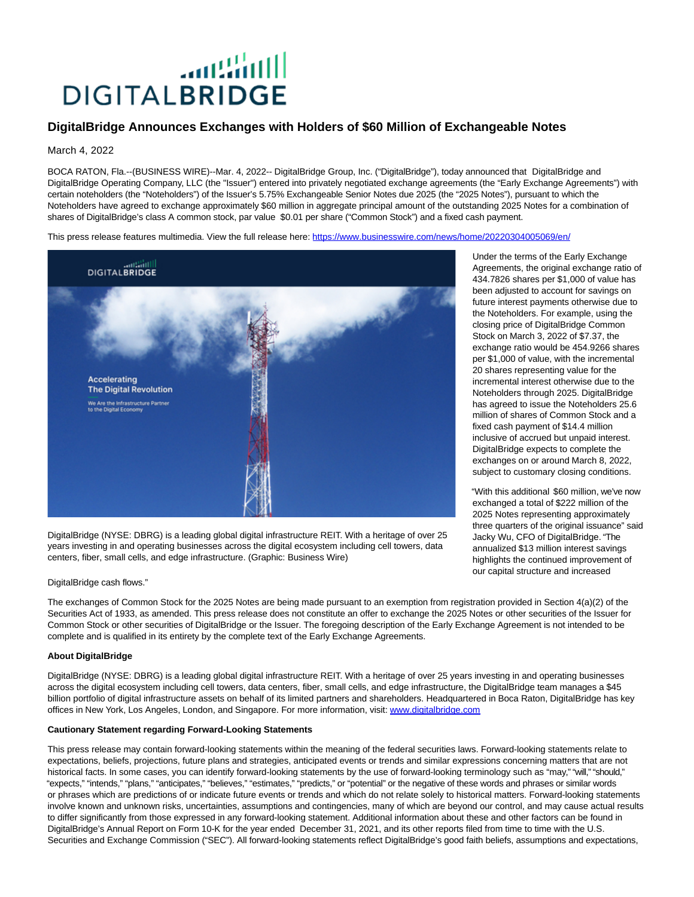# الأاشاف **DIGITALBRIDGE**

# **DigitalBridge Announces Exchanges with Holders of \$60 Million of Exchangeable Notes**

### March 4, 2022

BOCA RATON, Fla.--(BUSINESS WIRE)--Mar. 4, 2022-- DigitalBridge Group, Inc. ("DigitalBridge"), today announced that DigitalBridge and DigitalBridge Operating Company, LLC (the "Issuer") entered into privately negotiated exchange agreements (the "Early Exchange Agreements") with certain noteholders (the "Noteholders") of the Issuer's 5.75% Exchangeable Senior Notes due 2025 (the "2025 Notes"), pursuant to which the Noteholders have agreed to exchange approximately \$60 million in aggregate principal amount of the outstanding 2025 Notes for a combination of shares of DigitalBridge's class A common stock, par value \$0.01 per share ("Common Stock") and a fixed cash payment.

This press release features multimedia. View the full release here:<https://www.businesswire.com/news/home/20220304005069/en/>



DigitalBridge (NYSE: DBRG) is a leading global digital infrastructure REIT. With a heritage of over 25 years investing in and operating businesses across the digital ecosystem including cell towers, data centers, fiber, small cells, and edge infrastructure. (Graphic: Business Wire)

#### DigitalBridge cash flows."

The exchanges of Common Stock for the 2025 Notes are being made pursuant to an exemption from registration provided in Section 4(a)(2) of the Securities Act of 1933, as amended. This press release does not constitute an offer to exchange the 2025 Notes or other securities of the Issuer for Common Stock or other securities of DigitalBridge or the Issuer. The foregoing description of the Early Exchange Agreement is not intended to be complete and is qualified in its entirety by the complete text of the Early Exchange Agreements.

#### **About DigitalBridge**

DigitalBridge (NYSE: DBRG) is a leading global digital infrastructure REIT. With a heritage of over 25 years investing in and operating businesses across the digital ecosystem including cell towers, data centers, fiber, small cells, and edge infrastructure, the DigitalBridge team manages a \$45 billion portfolio of digital infrastructure assets on behalf of its limited partners and shareholders. Headquartered in Boca Raton, DigitalBridge has key offices in New York, Los Angeles, London, and Singapore. For more information, visit[: www.digitalbridge.com](https://cts.businesswire.com/ct/CT?id=smartlink&url=http%3A%2F%2Fwww.digitalbridge.com&esheet=52589586&newsitemid=20220304005069&lan=en-US&anchor=www.digitalbridge.com&index=1&md5=6f5af19c23d2adf72f309879b042b5da)

## **Cautionary Statement regarding Forward-Looking Statements**

This press release may contain forward-looking statements within the meaning of the federal securities laws. Forward-looking statements relate to expectations, beliefs, projections, future plans and strategies, anticipated events or trends and similar expressions concerning matters that are not historical facts. In some cases, you can identify forward-looking statements by the use of forward-looking terminology such as "may," "will," "should," "expects," "intends," "plans," "anticipates," "believes," "estimates," "predicts," or "potential" or the negative of these words and phrases or similar words or phrases which are predictions of or indicate future events or trends and which do not relate solely to historical matters. Forward-looking statements involve known and unknown risks, uncertainties, assumptions and contingencies, many of which are beyond our control, and may cause actual results to differ significantly from those expressed in any forward-looking statement. Additional information about these and other factors can be found in DigitalBridge's Annual Report on Form 10-K for the year ended December 31, 2021, and its other reports filed from time to time with the U.S. Securities and Exchange Commission ("SEC"). All forward-looking statements reflect DigitalBridge's good faith beliefs, assumptions and expectations,

Under the terms of the Early Exchange Agreements, the original exchange ratio of 434.7826 shares per \$1,000 of value has been adjusted to account for savings on future interest payments otherwise due to the Noteholders. For example, using the closing price of DigitalBridge Common Stock on March 3, 2022 of \$7.37, the exchange ratio would be 454.9266 shares per \$1,000 of value, with the incremental 20 shares representing value for the incremental interest otherwise due to the Noteholders through 2025. DigitalBridge has agreed to issue the Noteholders 25.6 million of shares of Common Stock and a fixed cash payment of \$14.4 million inclusive of accrued but unpaid interest. DigitalBridge expects to complete the exchanges on or around March 8, 2022, subject to customary closing conditions.

"With this additional \$60 million, we've now exchanged a total of \$222 million of the 2025 Notes representing approximately three quarters of the original issuance" said Jacky Wu, CFO of DigitalBridge. "The annualized \$13 million interest savings highlights the continued improvement of our capital structure and increased